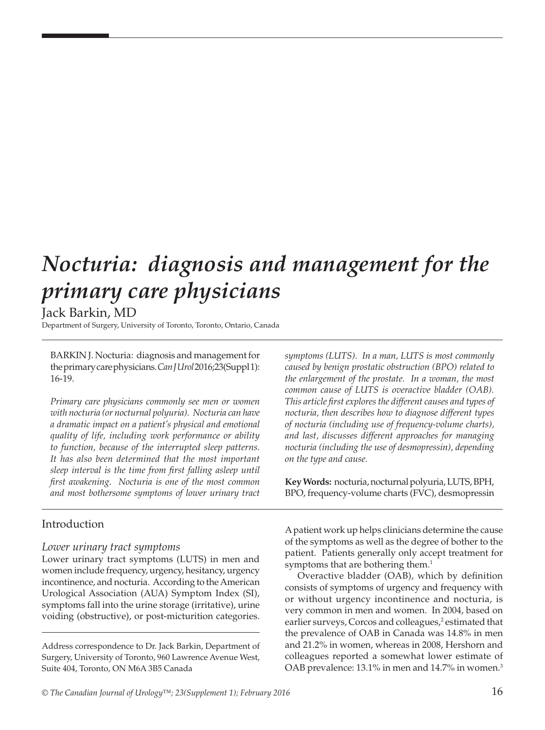# *Nocturia: diagnosis and management for the primary care physicians*

# Jack Barkin, MD

Department of Surgery, University of Toronto, Toronto, Ontario, Canada

BARKIN J. Nocturia: diagnosis and management for the primary care physicians. *Can J Urol* 2016;23(Suppl 1): 16-19.

*Primary care physicians commonly see men or women with nocturia (or nocturnal polyuria). Nocturia can have a dramatic impact on a patient's physical and emotional quality of life, including work performance or ability to function, because of the interrupted sleep patterns. It has also been determined that the most important sleep interval is the time from first falling asleep until first awakening. Nocturia is one of the most common and most bothersome symptoms of lower urinary tract* 

# Introduction

## *Lower urinary tract symptoms*

Lower urinary tract symptoms (LUTS) in men and women include frequency, urgency, hesitancy, urgency incontinence, and nocturia. According to the American Urological Association (AUA) Symptom Index (SI), symptoms fall into the urine storage (irritative), urine voiding (obstructive), or post-micturition categories.

Address correspondence to Dr. Jack Barkin, Department of Surgery, University of Toronto, 960 Lawrence Avenue West, Suite 404, Toronto, ON M6A 3B5 Canada

*symptoms (LUTS). In a man, LUTS is most commonly caused by benign prostatic obstruction (BPO) related to the enlargement of the prostate. In a woman, the most common cause of LUTS is overactive bladder (OAB). This article first explores the different causes and types of nocturia, then describes how to diagnose different types of nocturia (including use of frequency-volume charts), and last, discusses different approaches for managing nocturia (including the use of desmopressin), depending on the type and cause.* 

**Key Words:** nocturia, nocturnal polyuria, LUTS, BPH, BPO, frequency-volume charts (FVC), desmopressin

A patient work up helps clinicians determine the cause of the symptoms as well as the degree of bother to the patient. Patients generally only accept treatment for symptoms that are bothering them.<sup>1</sup>

Overactive bladder (OAB), which by definition consists of symptoms of urgency and frequency with or without urgency incontinence and nocturia, is very common in men and women. In 2004, based on earlier surveys, Corcos and colleagues,<sup>2</sup> estimated that the prevalence of OAB in Canada was 14.8% in men and 21.2% in women, whereas in 2008, Hershorn and colleagues reported a somewhat lower estimate of OAB prevalence: 13.1% in men and 14.7% in women.<sup>3</sup>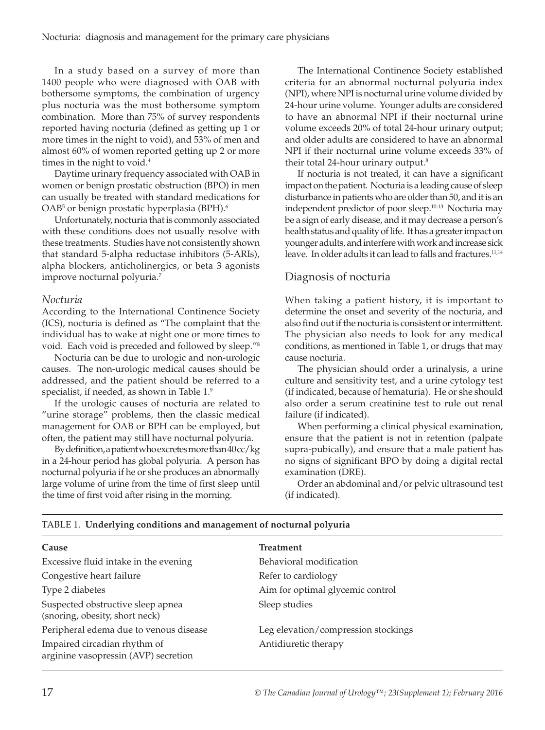In a study based on a survey of more than 1400 people who were diagnosed with OAB with bothersome symptoms, the combination of urgency plus nocturia was the most bothersome symptom combination. More than 75% of survey respondents reported having nocturia (defined as getting up 1 or more times in the night to void), and 53% of men and almost 60% of women reported getting up 2 or more times in the night to void.<sup>4</sup>

Daytime urinary frequency associated with OAB in women or benign prostatic obstruction (BPO) in men can usually be treated with standard medications for OAB<sup>5</sup> or benign prostatic hyperplasia (BPH).<sup>6</sup>

Unfortunately, nocturia that is commonly associated with these conditions does not usually resolve with these treatments. Studies have not consistently shown that standard 5-alpha reductase inhibitors (5-ARIs), alpha blockers, anticholinergics, or beta 3 agonists improve nocturnal polyuria.7

## *Nocturia*

According to the International Continence Society (ICS), nocturia is defined as "The complaint that the individual has to wake at night one or more times to void. Each void is preceded and followed by sleep."8

Nocturia can be due to urologic and non-urologic causes. The non-urologic medical causes should be addressed, and the patient should be referred to a specialist, if needed, as shown in Table 1.9

If the urologic causes of nocturia are related to "urine storage" problems, then the classic medical management for OAB or BPH can be employed, but often, the patient may still have nocturnal polyuria.

By definition, a patient who excretes more than 40 cc/kg in a 24-hour period has global polyuria. A person has nocturnal polyuria if he or she produces an abnormally large volume of urine from the time of first sleep until the time of first void after rising in the morning.

The International Continence Society established criteria for an abnormal nocturnal polyuria index (NPI), where NPI is nocturnal urine volume divided by 24-hour urine volume. Younger adults are considered to have an abnormal NPI if their nocturnal urine volume exceeds 20% of total 24-hour urinary output; and older adults are considered to have an abnormal NPI if their nocturnal urine volume exceeds 33% of their total 24-hour urinary output.<sup>8</sup>

If nocturia is not treated, it can have a significant impact on the patient. Nocturia is a leading cause of sleep disturbance in patients who are older than 50, and it is an independent predictor of poor sleep.10-13 Nocturia may be a sign of early disease, and it may decrease a person's health status and quality of life. It has a greater impact on younger adults, and interfere with work and increase sick leave. In older adults it can lead to falls and fractures.<sup>11,14</sup>

# Diagnosis of nocturia

When taking a patient history, it is important to determine the onset and severity of the nocturia, and also find out if the nocturia is consistent or intermittent. The physician also needs to look for any medical conditions, as mentioned in Table 1, or drugs that may cause nocturia.

The physician should order a urinalysis, a urine culture and sensitivity test, and a urine cytology test (if indicated, because of hematuria). He or she should also order a serum creatinine test to rule out renal failure (if indicated).

When performing a clinical physical examination, ensure that the patient is not in retention (palpate supra-pubically), and ensure that a male patient has no signs of significant BPO by doing a digital rectal examination (DRE).

Order an abdominal and/or pelvic ultrasound test (if indicated).

| Cause                                                                | <b>Treatment</b>                    |  |
|----------------------------------------------------------------------|-------------------------------------|--|
| Excessive fluid intake in the evening                                | Behavioral modification             |  |
| Congestive heart failure                                             | Refer to cardiology                 |  |
| Type 2 diabetes                                                      | Aim for optimal glycemic control    |  |
| Suspected obstructive sleep apnea<br>(snoring, obesity, short neck)  | Sleep studies                       |  |
| Peripheral edema due to venous disease                               | Leg elevation/compression stockings |  |
| Impaired circadian rhythm of<br>arginine vasopressin (AVP) secretion | Antidiuretic therapy                |  |
|                                                                      |                                     |  |

## TABLE 1. **Underlying conditions and management of nocturnal polyuria**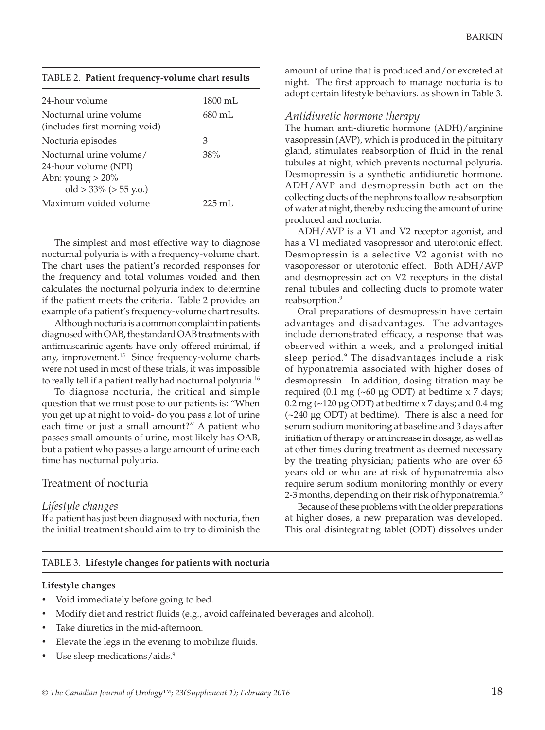|  | TABLE 2. Patient frequency-volume chart results |  |
|--|-------------------------------------------------|--|
|--|-------------------------------------------------|--|

| 24-hour volume                                                                                      | $1800 \text{ mL}$ |
|-----------------------------------------------------------------------------------------------------|-------------------|
| Nocturnal urine volume<br>(includes first morning void)                                             | $680 \text{ mL}$  |
| Nocturia episodes                                                                                   | З                 |
| Nocturnal urine volume/<br>24-hour volume (NPI)<br>Abn: young $>20\%$<br>old $>$ 33% ( $>$ 55 y.o.) | 38%               |
| Maximum voided volume                                                                               | $225 \text{ mL}$  |
|                                                                                                     |                   |

The simplest and most effective way to diagnose nocturnal polyuria is with a frequency-volume chart. The chart uses the patient's recorded responses for the frequency and total volumes voided and then calculates the nocturnal polyuria index to determine if the patient meets the criteria. Table 2 provides an example of a patient's frequency-volume chart results.

Although nocturia is a common complaint in patients diagnosed with OAB, the standard OAB treatments with antimuscarinic agents have only offered minimal, if any, improvement.<sup>15</sup> Since frequency-volume charts were not used in most of these trials, it was impossible to really tell if a patient really had nocturnal polyuria.<sup>16</sup>

To diagnose nocturia, the critical and simple question that we must pose to our patients is: "When you get up at night to void- do you pass a lot of urine each time or just a small amount?" A patient who passes small amounts of urine, most likely has OAB, but a patient who passes a large amount of urine each time has nocturnal polyuria.

# Treatment of nocturia

## *Lifestyle changes*

If a patient has just been diagnosed with nocturia, then the initial treatment should aim to try to diminish the

amount of urine that is produced and/or excreted at night. The first approach to manage nocturia is to adopt certain lifestyle behaviors. as shown in Table 3.

## *Antidiuretic hormone therapy*

The human anti-diuretic hormone (ADH)/arginine vasopressin (AVP), which is produced in the pituitary gland, stimulates reabsorption of fluid in the renal tubules at night, which prevents nocturnal polyuria. Desmopressin is a synthetic antidiuretic hormone. ADH/AVP and desmopressin both act on the collecting ducts of the nephrons to allow re-absorption of water at night, thereby reducing the amount of urine produced and nocturia.

ADH/AVP is a V1 and V2 receptor agonist, and has a V1 mediated vasopressor and uterotonic effect. Desmopressin is a selective V2 agonist with no vasoporessor or uterotonic effect. Both ADH/AVP and desmopressin act on V2 receptors in the distal renal tubules and collecting ducts to promote water reabsorption.<sup>9</sup>

Oral preparations of desmopressin have certain advantages and disadvantages. The advantages include demonstrated efficacy, a response that was observed within a week, and a prolonged initial sleep period.<sup>9</sup> The disadvantages include a risk of hyponatremia associated with higher doses of desmopressin. In addition, dosing titration may be required (0.1 mg (~60 µg ODT) at bedtime  $x$  7 days;  $0.2$  mg ( $\sim$ 120 µg ODT) at bedtime x 7 days; and  $0.4$  mg  $(-240 \text{ µg ODT})$  at bedtime). There is also a need for serum sodium monitoring at baseline and 3 days after initiation of therapy or an increase in dosage, as well as at other times during treatment as deemed necessary by the treating physician; patients who are over 65 years old or who are at risk of hyponatremia also require serum sodium monitoring monthly or every 2-3 months, depending on their risk of hyponatremia.<sup>9</sup>

Because of these problems with the older preparations at higher doses, a new preparation was developed. This oral disintegrating tablet (ODT) dissolves under

## TABLE 3. **Lifestyle changes for patients with nocturia**

## **Lifestyle changes**

- Void immediately before going to bed.
- Modify diet and restrict fluids (e.g., avoid caffeinated beverages and alcohol).
- Take diuretics in the mid-afternoon.
- Elevate the legs in the evening to mobilize fluids.
- Use sleep medications/aids.<sup>9</sup>